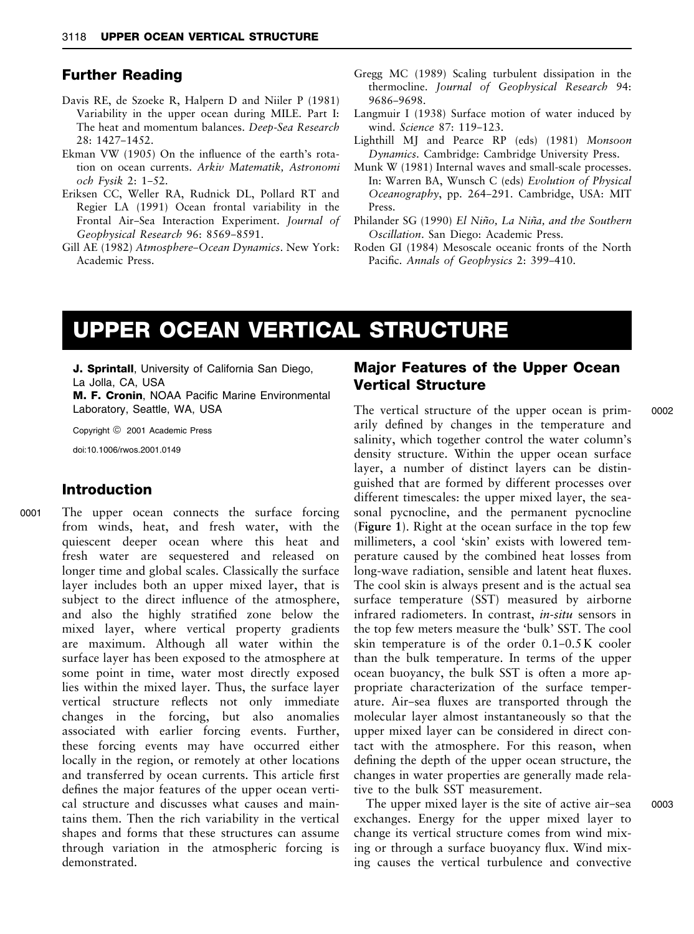## **Further Reading**

- Davis RE, de Szoeke R, Halpern D and Niiler P (1981) Variability in the upper ocean during MILE. Part I: The heat and momentum balances. *Deep-Sea Research* 28: 1427-1452.
- Ekman VW  $(1905)$  On the influence of the earth's rotation on ocean currents. *Arkiv Matematik, Astronomi och Fysik* 2: 1-52.
- Eriksen CC, Weller RA, Rudnick DL, Pollard RT and Regier LA (1991) Ocean frontal variability in the Frontal Air-Sea Interaction Experiment. *Journal of Geophysical Research 96: 8569-8591.*
- Gill AE (1982) Atmosphere-Ocean Dynamics. New York: Academic Press.
- Gregg MC (1989) Scaling turbulent dissipation in the thermocline. *Journal of Geophysical Research* 94: 9686-9698.
- Langmuir I (1938) Surface motion of water induced by wind. *Science* 87: 119-123.
- Lighthill MJ and Pearce RP (eds) (1981) *Monsoon Dynamics*. Cambridge: Cambridge University Press.
- Munk W (1981) Internal waves and small-scale processes. In: Warren BA, Wunsch C (eds) *Evolution of Physical* Oceanography, pp. 264-291. Cambridge, USA: MIT Press.
- Philander SG (1990) *El Niño*, *La Niña*, *and the Southern Oscillation*. San Diego: Academic Press.
- Roden GI (1984) Mesoscale oceanic fronts of the North Pacific. *Annals of Geophysics* 2: 399-410.

# **UPPER OCEAN VERTICAL STRUCTURE**

**J. Sprintall**, University of California San Diego, La Jolla, CA, USA **M. F. Cronin**, NOAA Pacific Marine Environmental Laboratory, Seattle, WA, USA

Copyright © 2001 Academic Press doi:10.1006/rwos.2001.0149

# **Introduction**

The upper ocean connects the surface forcing from winds, heat, and fresh water, with the quiescent deeper ocean where this heat and fresh water are sequestered and released on longer time and global scales. Classically the surface layer includes both an upper mixed layer, that is subject to the direct influence of the atmosphere, and also the highly stratified zone below the mixed layer, where vertical property gradients are maximum. Although all water within the surface layer has been exposed to the atmosphere at some point in time, water most directly exposed lies within the mixed layer. Thus, the surface layer vertical structure reflects not only immediate changes in the forcing, but also anomalies associated with earlier forcing events. Further, these forcing events may have occurred either locally in the region, or remotely at other locations and transferred by ocean currents. This article first defines the major features of the upper ocean vertical structure and discusses what causes and maintains them. Then the rich variability in the vertical shapes and forms that these structures can assume through variation in the atmospheric forcing is demonstrated. 0001

# **Major Features of the Upper Ocean Vertical Structure**

The vertical structure of the upper ocean is primarily defined by changes in the temperature and salinity, which together control the water column's density structure. Within the upper ocean surface layer, a number of distinct layers can be distinguished that are formed by different processes over different timescales: the upper mixed layer, the seasonal pycnocline, and the permanent pycnocline (**Figure 1**). Right at the ocean surface in the top few millimeters, a cool 'skin' exists with lowered temperature caused by the combined heat losses from long-wave radiation, sensible and latent heat fluxes. The cool skin is always present and is the actual sea surface temperature (SST) measured by airborne infrared radiometers. In contrast, *in-situ* sensors in the top few meters measure the 'bulk' SST. The cool skin temperature is of the order  $0.1-0.5$  K cooler than the bulk temperature. In terms of the upper ocean buoyancy, the bulk SST is often a more appropriate characterization of the surface temperature. Air-sea fluxes are transported through the molecular layer almost instantaneously so that the upper mixed layer can be considered in direct contact with the atmosphere. For this reason, when defining the depth of the upper ocean structure, the changes in water properties are generally made relative to the bulk SST measurement.

The upper mixed layer is the site of active air-sea exchanges. Energy for the upper mixed layer to change its vertical structure comes from wind mixing or through a surface buoyancy flux. Wind mixing causes the vertical turbulence and convective

0002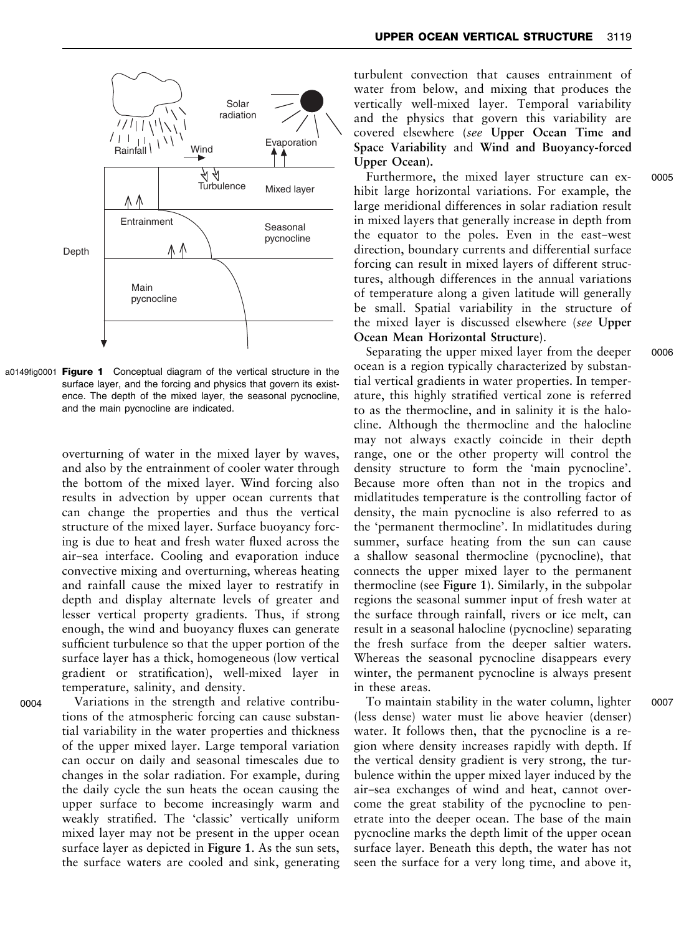

a0149fig0001 Figure 1 Conceptual diagram of the vertical structure in the surface layer, and the forcing and physics that govern its existence. The depth of the mixed layer, the seasonal pycnocline, and the main pycnocline are indicated.

overturning of water in the mixed layer by waves, and also by the entrainment of cooler water through the bottom of the mixed layer. Wind forcing also results in advection by upper ocean currents that can change the properties and thus the vertical structure of the mixed layer. Surface buoyancy forcing is due to heat and fresh water fluxed across the air-sea interface. Cooling and evaporation induce convective mixing and overturning, whereas heating and rainfall cause the mixed layer to restratify in depth and display alternate levels of greater and lesser vertical property gradients. Thus, if strong enough, the wind and buoyancy fluxes can generate sufficient turbulence so that the upper portion of the surface layer has a thick, homogeneous (low vertical gradient or stratification), well-mixed layer in temperature, salinity, and density.

Variations in the strength and relative contributions of the atmospheric forcing can cause substantial variability in the water properties and thickness of the upper mixed layer. Large temporal variation can occur on daily and seasonal timescales due to changes in the solar radiation. For example, during the daily cycle the sun heats the ocean causing the upper surface to become increasingly warm and weakly stratified. The 'classic' vertically uniform mixed layer may not be present in the upper ocean surface layer as depicted in **Figure 1**. As the sun sets, the surface waters are cooled and sink, generating

0004

turbulent convection that causes entrainment of water from below, and mixing that produces the vertically well-mixed layer. Temporal variability and the physics that govern this variability are covered elsewhere (*see* **Upper Ocean Time and Space Variability** and **Wind and Buoyancy-forced Upper Ocean).**

Furthermore, the mixed layer structure can exhibit large horizontal variations. For example, the large meridional differences in solar radiation result in mixed layers that generally increase in depth from the equator to the poles. Even in the east-west direction, boundary currents and differential surface forcing can result in mixed layers of different structures, although differences in the annual variations of temperature along a given latitude will generally be small. Spatial variability in the structure of the mixed layer is discussed elsewhere (*see* **Upper Ocean Mean Horizontal Structure)**.

Separating the upper mixed layer from the deeper ocean is a region typically characterized by substantial vertical gradients in water properties. In temperature, this highly stratified vertical zone is referred to as the thermocline, and in salinity it is the halocline. Although the thermocline and the halocline may not always exactly coincide in their depth range, one or the other property will control the density structure to form the 'main pycnocline'. Because more often than not in the tropics and midlatitudes temperature is the controlling factor of density, the main pycnocline is also referred to as the 'permanent thermocline'. In midlatitudes during summer, surface heating from the sun can cause a shallow seasonal thermocline (pycnocline), that connects the upper mixed layer to the permanent thermocline (see **Figure 1**). Similarly, in the subpolar regions the seasonal summer input of fresh water at the surface through rainfall, rivers or ice melt, can result in a seasonal halocline (pycnocline) separating the fresh surface from the deeper saltier waters. Whereas the seasonal pycnocline disappears every winter, the permanent pycnocline is always present in these areas.

To maintain stability in the water column, lighter (less dense) water must lie above heavier (denser) water. It follows then, that the pycnocline is a region where density increases rapidly with depth. If the vertical density gradient is very strong, the turbulence within the upper mixed layer induced by the air-sea exchanges of wind and heat, cannot overcome the great stability of the pycnocline to penetrate into the deeper ocean. The base of the main pycnocline marks the depth limit of the upper ocean surface layer. Beneath this depth, the water has not seen the surface for a very long time, and above it,

0005

0006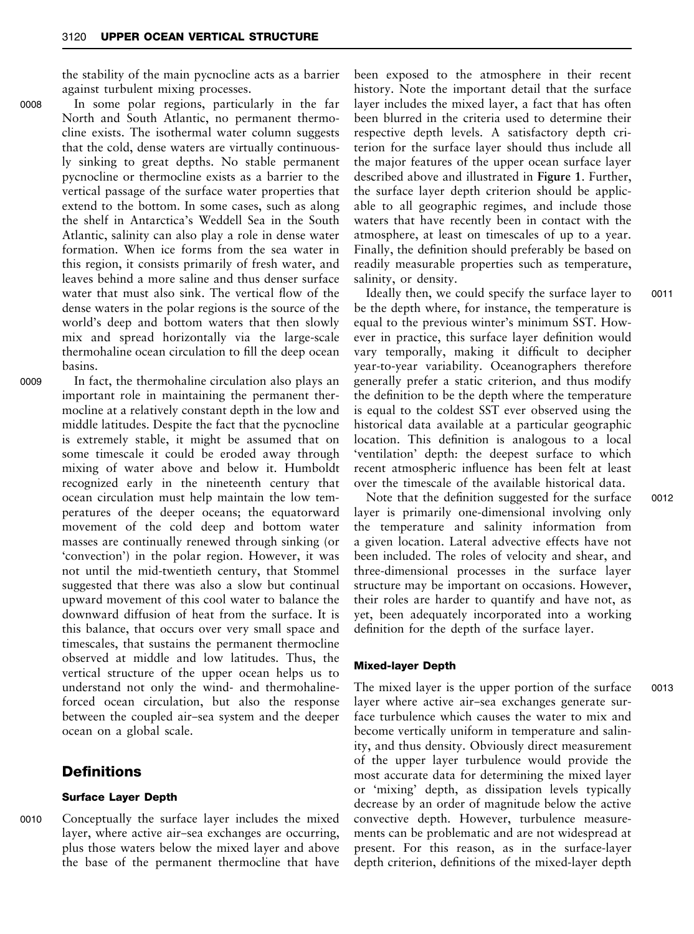the stability of the main pycnocline acts as a barrier against turbulent mixing processes.

In some polar regions, particularly in the far North and South Atlantic, no permanent thermocline exists. The isothermal water column suggests that the cold, dense waters are virtually continuously sinking to great depths. No stable permanent pycnocline or thermocline exists as a barrier to the vertical passage of the surface water properties that extend to the bottom. In some cases, such as along the shelf in Antarctica's Weddell Sea in the South Atlantic, salinity can also play a role in dense water formation. When ice forms from the sea water in this region, it consists primarily of fresh water, and leaves behind a more saline and thus denser surface water that must also sink. The vertical flow of the dense waters in the polar regions is the source of the world's deep and bottom waters that then slowly mix and spread horizontally via the large-scale thermohaline ocean circulation to fill the deep ocean basins.

In fact, the thermohaline circulation also plays an important role in maintaining the permanent thermocline at a relatively constant depth in the low and middle latitudes. Despite the fact that the pycnocline is extremely stable, it might be assumed that on some timescale it could be eroded away through mixing of water above and below it. Humboldt recognized early in the nineteenth century that ocean circulation must help maintain the low temperatures of the deeper oceans; the equatorward movement of the cold deep and bottom water masses are continually renewed through sinking (or 'convection') in the polar region. However, it was not until the mid-twentieth century, that Stommel suggested that there was also a slow but continual upward movement of this cool water to balance the downward diffusion of heat from the surface. It is this balance, that occurs over very small space and timescales, that sustains the permanent thermocline observed at middle and low latitudes. Thus, the vertical structure of the upper ocean helps us to understand not only the wind- and thermohalineforced ocean circulation, but also the response between the coupled air-sea system and the deeper ocean on a global scale.

## **De**\**nitions**

#### **Surface Layer Depth**

Conceptually the surface layer includes the mixed layer, where active air-sea exchanges are occurring, plus those waters below the mixed layer and above the base of the permanent thermocline that have 0010

been exposed to the atmosphere in their recent history. Note the important detail that the surface layer includes the mixed layer, a fact that has often been blurred in the criteria used to determine their respective depth levels. A satisfactory depth criterion for the surface layer should thus include all the major features of the upper ocean surface layer described above and illustrated in **Figure 1**. Further, the surface layer depth criterion should be applicable to all geographic regimes, and include those waters that have recently been in contact with the atmosphere, at least on timescales of up to a year. Finally, the definition should preferably be based on readily measurable properties such as temperature, salinity, or density.

Ideally then, we could specify the surface layer to be the depth where, for instance, the temperature is equal to the previous winter's minimum SST. However in practice, this surface layer definition would vary temporally, making it difficult to decipher year-to-year variability. Oceanographers therefore generally prefer a static criterion, and thus modify the definition to be the depth where the temperature is equal to the coldest SST ever observed using the historical data available at a particular geographic location. This definition is analogous to a local 'ventilation' depth: the deepest surface to which recent atmospheric influence has been felt at least over the timescale of the available historical data.

Note that the definition suggested for the surface layer is primarily one-dimensional involving only the temperature and salinity information from a given location. Lateral advective effects have not been included. The roles of velocity and shear, and three-dimensional processes in the surface layer structure may be important on occasions. However, their roles are harder to quantify and have not, as yet, been adequately incorporated into a working definition for the depth of the surface layer.

#### **Mixed-layer Depth**

The mixed layer is the upper portion of the surface layer where active air-sea exchanges generate surface turbulence which causes the water to mix and become vertically uniform in temperature and salinity, and thus density. Obviously direct measurement of the upper layer turbulence would provide the most accurate data for determining the mixed layer or 'mixing' depth, as dissipation levels typically decrease by an order of magnitude below the active convective depth. However, turbulence measurements can be problematic and are not widespread at present. For this reason, as in the surface-layer depth criterion, definitions of the mixed-layer depth

0013

0008

0009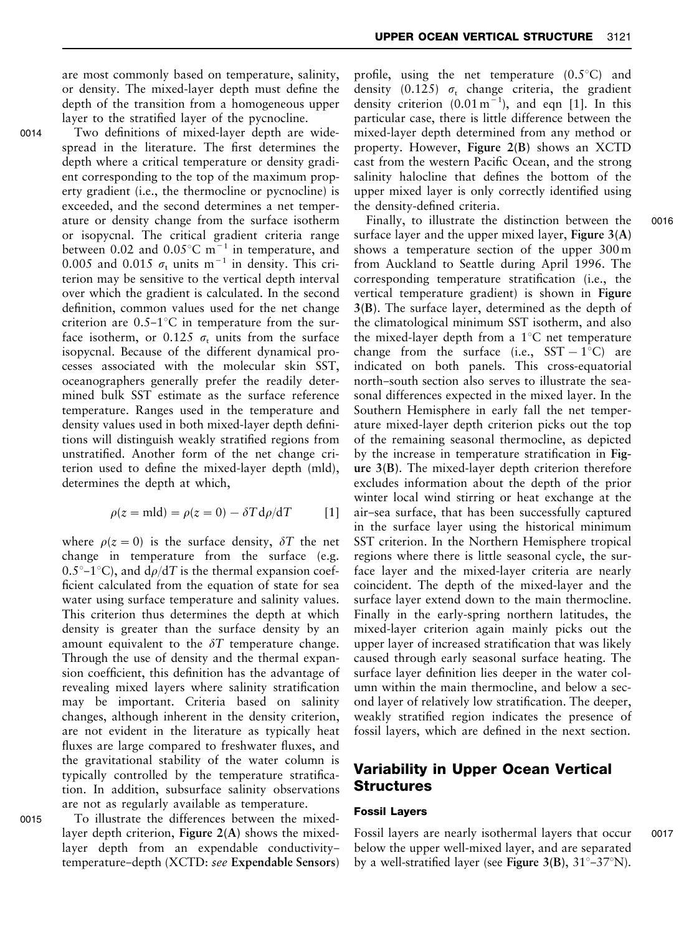are most commonly based on temperature, salinity, or density. The mixed-layer depth must define the depth of the transition from a homogeneous upper layer to the stratified layer of the pycnocline.

0014

Two definitions of mixed-layer depth are widespread in the literature. The first determines the depth where a critical temperature or density gradient corresponding to the top of the maximum property gradient (i.e., the thermocline or pycnocline) is exceeded, and the second determines a net temperature or density change from the surface isotherm or isopycnal. The critical gradient criteria range between 0.02 and  $0.05^{\circ}$ C m<sup>-1</sup> in temperature, and 0.005 and 0.015  $\sigma_t$  units m<sup>-1</sup> in density. This criterion may be sensitive to the vertical depth interval over which the gradient is calculated. In the second definition, common values used for the net change criterion are  $0.5-1$ °C in temperature from the surface isotherm, or 0.125  $\sigma_t$  units from the surface isopycnal. Because of the different dynamical processes associated with the molecular skin SST, oceanographers generally prefer the readily determined bulk SST estimate as the surface reference temperature. Ranges used in the temperature and density values used in both mixed-layer depth definitions will distinguish weakly stratified regions from unstratified. Another form of the net change criterion used to define the mixed-layer depth (mld), determines the depth at which,

$$
\rho(z = \text{mld}) = \rho(z = 0) - \delta T d\rho/dT \qquad [1]
$$

where  $\rho(z = 0)$  is the surface density,  $\delta T$  the net change in temperature from the surface (e.g. 0.5 $\degree$ –1 $\degree$ C), and d $\rho/dT$  is the thermal expansion coefficient calculated from the equation of state for sea water using surface temperature and salinity values. This criterion thus determines the depth at which density is greater than the surface density by an amount equivalent to the  $\delta T$  temperature change. Through the use of density and the thermal expansion coefficient, this definition has the advantage of revealing mixed layers where salinity stratification may be important. Criteria based on salinity changes, although inherent in the density criterion, are not evident in the literature as typically heat fluxes are large compared to freshwater fluxes, and the gravitational stability of the water column is typically controlled by the temperature stratification. In addition, subsurface salinity observations are not as regularly available as temperature.

To illustrate the differences between the mixedlayer depth criterion, **Figure 2(A)** shows the mixedlayer depth from an expendable conductivitytemperature}depth (XCTD: *see* **Expendable Sensors**) 0015

profile, using the net temperature  $(0.5^{\circ}C)$  and density (0.125)  $\sigma_t$  change criteria, the gradient density criterion  $(0.01 \text{ m}^{-1})$ , and eqn [1]. In this particular case, there is little difference between the mixed-layer depth determined from any method or property. However, **Figure 2(B)** shows an XCTD cast from the western Pacific Ocean, and the strong salinity halocline that defines the bottom of the upper mixed layer is only correctly identified using the density-defined criteria.

Finally, to illustrate the distinction between the surface layer and the upper mixed layer, **Figure 3(A)** shows a temperature section of the upper 300 m from Auckland to Seattle during April 1996. The corresponding temperature stratification (i.e., the vertical temperature gradient) is shown in **Figure 3(B)**. The surface layer, determined as the depth of the climatological minimum SST isotherm, and also the mixed-layer depth from a  $1^{\circ}$ C net temperature change from the surface (i.e.,  $SST - 1$ <sup>o</sup>C) are indicated on both panels. This cross-equatorial north-south section also serves to illustrate the seasonal differences expected in the mixed layer. In the Southern Hemisphere in early fall the net temperature mixed-layer depth criterion picks out the top of the remaining seasonal thermocline, as depicted by the increase in temperature stratification in **Figure 3(B)**. The mixed-layer depth criterion therefore excludes information about the depth of the prior winter local wind stirring or heat exchange at the air-sea surface, that has been successfully captured in the surface layer using the historical minimum SST criterion. In the Northern Hemisphere tropical regions where there is little seasonal cycle, the surface layer and the mixed-layer criteria are nearly coincident. The depth of the mixed-layer and the surface layer extend down to the main thermocline. Finally in the early-spring northern latitudes, the mixed-layer criterion again mainly picks out the upper layer of increased stratification that was likely caused through early seasonal surface heating. The surface layer definition lies deeper in the water column within the main thermocline, and below a second layer of relatively low stratification. The deeper, weakly stratified region indicates the presence of fossil layers, which are defined in the next section.

# **Variability in Upper Ocean Vertical Structures**

#### **Fossil Layers**

Fossil layers are nearly isothermal layers that occur below the upper well-mixed layer, and are separated by a well-stratified layer (see Figure 3(B),  $31^{\circ}$ – $37^{\circ}$ N). 0017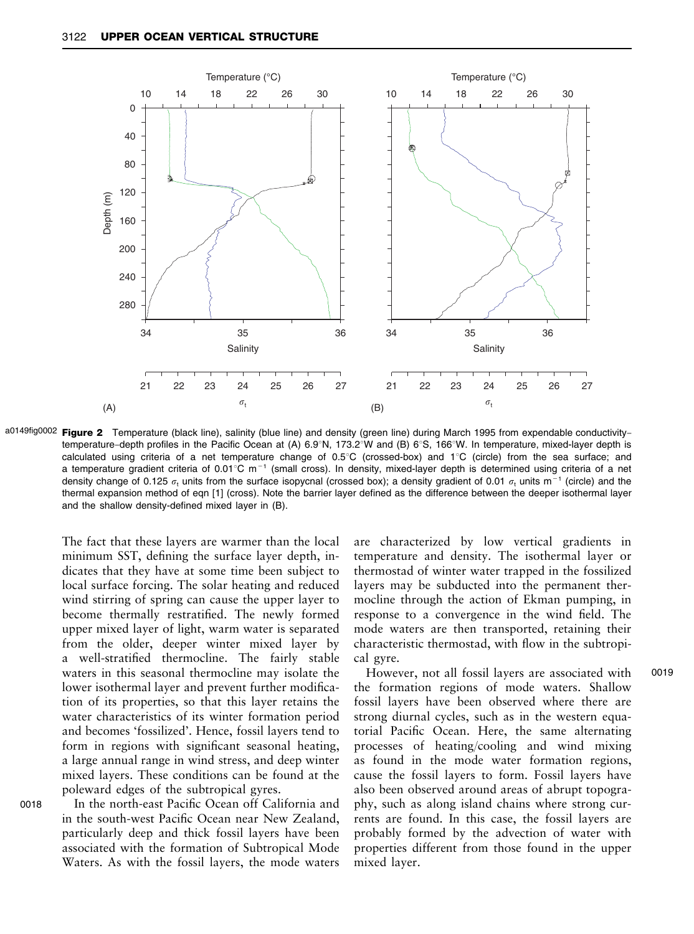

a0149fig0002 Figure 2 Temperature (black line), salinity (blue line) and density (green line) during March 1995 from expendable conductivitytemperature-depth profiles in the Pacific Ocean at (A) 6.9°N, 173.2°W and (B) 6°S, 166°W. In temperature, mixed-layer depth is calculated using criteria of a net temperature change of  $0.5^{\circ}$ C (crossed-box) and  $1^{\circ}$ C (circle) from the sea surface; and a temperature gradient criteria of  $0.01^{\circ}$ C m<sup>-1</sup> (small cross). In density, mixed-layer depth is determined using criteria of a net density change of 0.125  $\sigma_t$  units from the surface isopycnal (crossed box); a density gradient of 0.01  $\sigma_t$  units m $^{-1}$  (circle) and the thermal expansion method of eqn [1] (cross). Note the barrier layer defined as the difference between the deeper isothermal layer and the shallow density-defined mixed layer in (B).

The fact that these layers are warmer than the local minimum SST, defining the surface layer depth, indicates that they have at some time been subject to local surface forcing. The solar heating and reduced wind stirring of spring can cause the upper layer to become thermally restratified. The newly formed upper mixed layer of light, warm water is separated from the older, deeper winter mixed layer by a well-stratified thermocline. The fairly stable waters in this seasonal thermocline may isolate the lower isothermal layer and prevent further modification of its properties, so that this layer retains the water characteristics of its winter formation period and becomes 'fossilized'. Hence, fossil layers tend to form in regions with significant seasonal heating, a large annual range in wind stress, and deep winter mixed layers. These conditions can be found at the poleward edges of the subtropical gyres.

0018

In the north-east Pacific Ocean off California and in the south-west Pacific Ocean near New Zealand, particularly deep and thick fossil layers have been associated with the formation of Subtropical Mode Waters. As with the fossil layers, the mode waters are characterized by low vertical gradients in temperature and density. The isothermal layer or thermostad of winter water trapped in the fossilized layers may be subducted into the permanent thermocline through the action of Ekman pumping, in response to a convergence in the wind field. The mode waters are then transported, retaining their characteristic thermostad, with flow in the subtropical gyre.

0019

However, not all fossil layers are associated with the formation regions of mode waters. Shallow fossil layers have been observed where there are strong diurnal cycles, such as in the western equatorial Pacific Ocean. Here, the same alternating processes of heating/cooling and wind mixing as found in the mode water formation regions, cause the fossil layers to form. Fossil layers have also been observed around areas of abrupt topography, such as along island chains where strong currents are found. In this case, the fossil layers are probably formed by the advection of water with properties different from those found in the upper mixed layer.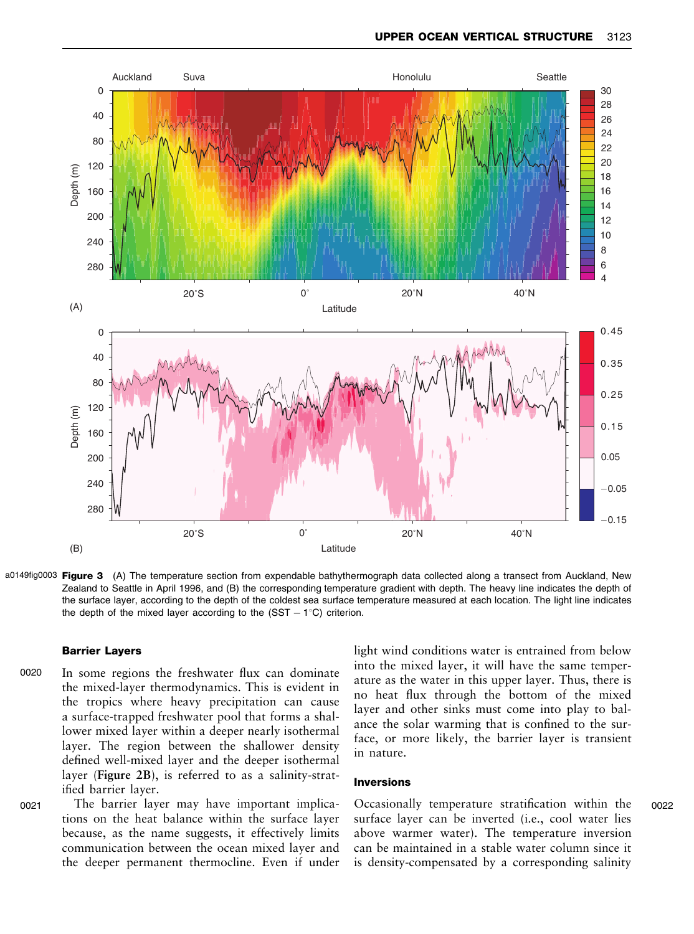

a0149fig0003 Figure 3 (A) The temperature section from expendable bathythermograph data collected along a transect from Auckland, New Zealand to Seattle in April 1996, and (B) the corresponding temperature gradient with depth. The heavy line indicates the depth of the surface layer, according to the depth of the coldest sea surface temperature measured at each location. The light line indicates the depth of the mixed layer according to the  $(SST - 1\degree C)$  criterion.

#### **Barrier Layers**

- In some regions the freshwater flux can dominate the mixed-layer thermodynamics. This is evident in the tropics where heavy precipitation can cause a surface-trapped freshwater pool that forms a shallower mixed layer within a deeper nearly isothermal layer. The region between the shallower density defined well-mixed layer and the deeper isothermal layer (**Figure 2B**), is referred to as a salinity-stratified barrier layer. 0020
- 0021 The barrier layer may have important implica- Occasionally temperature stratification within the 0022 tions on the heat balance within the surface layer because, as the name suggests, it effectively limits communication between the ocean mixed layer and the deeper permanent thermocline. Even if under

light wind conditions water is entrained from below into the mixed layer, it will have the same temperature as the water in this upper layer. Thus, there is no heat flux through the bottom of the mixed layer and other sinks must come into play to balance the solar warming that is confined to the surface, or more likely, the barrier layer is transient in nature.

### **Inversions**

Occasionally temperature stratification within the surface layer can be inverted (i.e., cool water lies above warmer water). The temperature inversion can be maintained in a stable water column since it is density-compensated by a corresponding salinity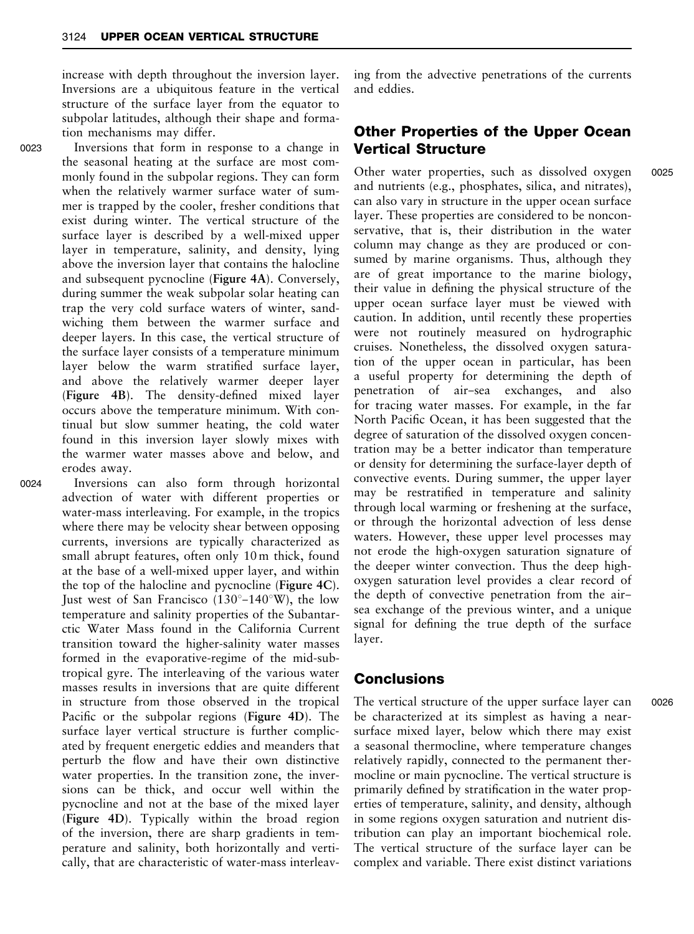increase with depth throughout the inversion layer. Inversions are a ubiquitous feature in the vertical structure of the surface layer from the equator to subpolar latitudes, although their shape and formation mechanisms may differ.

Inversions that form in response to a change in the seasonal heating at the surface are most commonly found in the subpolar regions. They can form when the relatively warmer surface water of summer is trapped by the cooler, fresher conditions that exist during winter. The vertical structure of the surface layer is described by a well-mixed upper layer in temperature, salinity, and density, lying above the inversion layer that contains the halocline and subsequent pycnocline (**Figure 4A**). Conversely, during summer the weak subpolar solar heating can trap the very cold surface waters of winter, sandwiching them between the warmer surface and deeper layers. In this case, the vertical structure of the surface layer consists of a temperature minimum layer below the warm stratified surface layer, and above the relatively warmer deeper layer (**Figure 4B**). The density-defined mixed layer occurs above the temperature minimum. With continual but slow summer heating, the cold water found in this inversion layer slowly mixes with the warmer water masses above and below, and erodes away.

Inversions can also form through horizontal advection of water with different properties or water-mass interleaving. For example, in the tropics where there may be velocity shear between opposing currents, inversions are typically characterized as small abrupt features, often only 10 m thick, found at the base of a well-mixed upper layer, and within the top of the halocline and pycnocline (**Figure 4C**). Just west of San Francisco (130 $^{\circ}$ -140 $^{\circ}$ W), the low temperature and salinity properties of the Subantarctic Water Mass found in the California Current transition toward the higher-salinity water masses formed in the evaporative-regime of the mid-subtropical gyre. The interleaving of the various water masses results in inversions that are quite different in structure from those observed in the tropical Pacific or the subpolar regions (Figure 4D). The surface layer vertical structure is further complicated by frequent energetic eddies and meanders that perturb the flow and have their own distinctive water properties. In the transition zone, the inversions can be thick, and occur well within the pycnocline and not at the base of the mixed layer (**Figure 4D**). Typically within the broad region of the inversion, there are sharp gradients in temperature and salinity, both horizontally and vertically, that are characteristic of water-mass interleaving from the advective penetrations of the currents and eddies.

# **Other Properties of the Upper Ocean Vertical Structure**

Other water properties, such as dissolved oxygen and nutrients (e.g., phosphates, silica, and nitrates), can also vary in structure in the upper ocean surface layer. These properties are considered to be nonconservative, that is, their distribution in the water column may change as they are produced or consumed by marine organisms. Thus, although they are of great importance to the marine biology, their value in defining the physical structure of the upper ocean surface layer must be viewed with caution. In addition, until recently these properties were not routinely measured on hydrographic cruises. Nonetheless, the dissolved oxygen saturation of the upper ocean in particular, has been a useful property for determining the depth of penetration of air-sea exchanges, and also for tracing water masses. For example, in the far North Pacific Ocean, it has been suggested that the degree of saturation of the dissolved oxygen concentration may be a better indicator than temperature or density for determining the surface-layer depth of convective events. During summer, the upper layer may be restratified in temperature and salinity through local warming or freshening at the surface, or through the horizontal advection of less dense waters. However, these upper level processes may not erode the high-oxygen saturation signature of the deeper winter convection. Thus the deep highoxygen saturation level provides a clear record of the depth of convective penetration from the airsea exchange of the previous winter, and a unique signal for defining the true depth of the surface layer.

# **Conclusions**

The vertical structure of the upper surface layer can be characterized at its simplest as having a nearsurface mixed layer, below which there may exist a seasonal thermocline, where temperature changes relatively rapidly, connected to the permanent thermocline or main pycnocline. The vertical structure is primarily defined by stratification in the water properties of temperature, salinity, and density, although in some regions oxygen saturation and nutrient distribution can play an important biochemical role. The vertical structure of the surface layer can be complex and variable. There exist distinct variations

0023

0025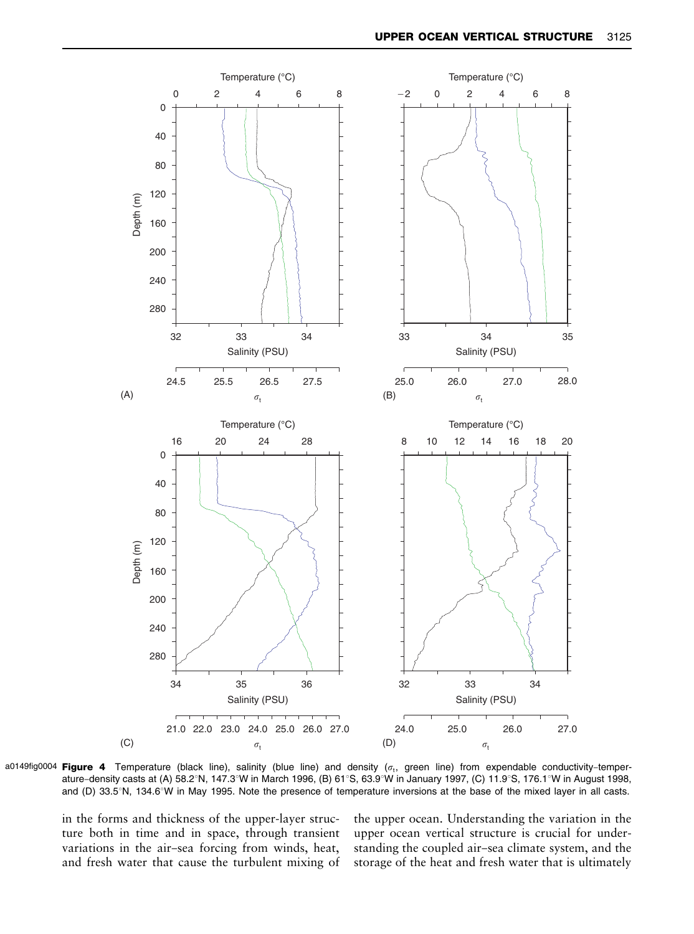

a0149fig0004 **Figure 4** Temperature (black line), salinity (blue line) and density ( $\sigma_{\rm t}$ , green line) from expendable conductivity-temperature-density casts at (A) 58.2°N, 147.3°W in March 1996, (B) 61°S, 63.9°W in January 1997, (C) 11.9°S, 176.1°W in August 1998, and (D) 33.5°N, 134.6°W in May 1995. Note the presence of temperature inversions at the base of the mixed layer in all casts.

in the forms and thickness of the upper-layer structure both in time and in space, through transient variations in the air-sea forcing from winds, heat, and fresh water that cause the turbulent mixing of the upper ocean. Understanding the variation in the upper ocean vertical structure is crucial for understanding the coupled air-sea climate system, and the storage of the heat and fresh water that is ultimately